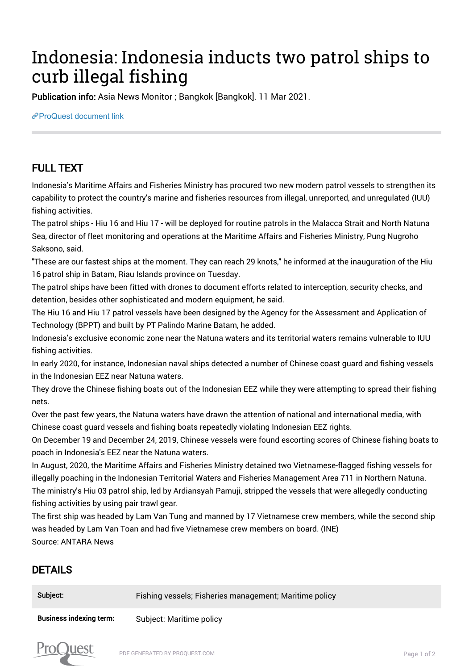## Indonesia: Indonesia inducts two patrol ships to curb illegal fishing

Publication info: Asia News Monitor ; Bangkok [Bangkok]. 11 Mar 2021.

[ProQuest document link](http://132.174.250.227/newspapers/indonesia-inducts-two-patrol-ships-curb-illegal/docview/2499409767/se-2?accountid=8394)

## FULL TEXT

Indonesia's Maritime Affairs and Fisheries Ministry has procured two new modern patrol vessels to strengthen its capability to protect the country's marine and fisheries resources from illegal, unreported, and unregulated (IUU) fishing activities.

The patrol ships - Hiu 16 and Hiu 17 - will be deployed for routine patrols in the Malacca Strait and North Natuna Sea, director of fleet monitoring and operations at the Maritime Affairs and Fisheries Ministry, Pung Nugroho Saksono, said.

"These are our fastest ships at the moment. They can reach 29 knots," he informed at the inauguration of the Hiu 16 patrol ship in Batam, Riau Islands province on Tuesday.

The patrol ships have been fitted with drones to document efforts related to interception, security checks, and detention, besides other sophisticated and modern equipment, he said.

The Hiu 16 and Hiu 17 patrol vessels have been designed by the Agency for the Assessment and Application of Technology (BPPT) and built by PT Palindo Marine Batam, he added.

Indonesia's exclusive economic zone near the Natuna waters and its territorial waters remains vulnerable to IUU fishing activities.

In early 2020, for instance, Indonesian naval ships detected a number of Chinese coast guard and fishing vessels in the Indonesian EEZ near Natuna waters.

They drove the Chinese fishing boats out of the Indonesian EEZ while they were attempting to spread their fishing nets.

Over the past few years, the Natuna waters have drawn the attention of national and international media, with Chinese coast guard vessels and fishing boats repeatedly violating Indonesian EEZ rights.

On December 19 and December 24, 2019, Chinese vessels were found escorting scores of Chinese fishing boats to poach in Indonesia's EEZ near the Natuna waters.

In August, 2020, the Maritime Affairs and Fisheries Ministry detained two Vietnamese-flagged fishing vessels for illegally poaching in the Indonesian Territorial Waters and Fisheries Management Area 711 in Northern Natuna. The ministry's Hiu 03 patrol ship, led by Ardiansyah Pamuji, stripped the vessels that were allegedly conducting fishing activities by using pair trawl gear.

The first ship was headed by Lam Van Tung and manned by 17 Vietnamese crew members, while the second ship was headed by Lam Van Toan and had five Vietnamese crew members on board. (INE) Source: ANTARA News

## DETAILS

| Subject:                       | Fishing vessels; Fisheries management; Maritime policy |
|--------------------------------|--------------------------------------------------------|
| <b>Business indexing term:</b> | Subject: Maritime policy                               |